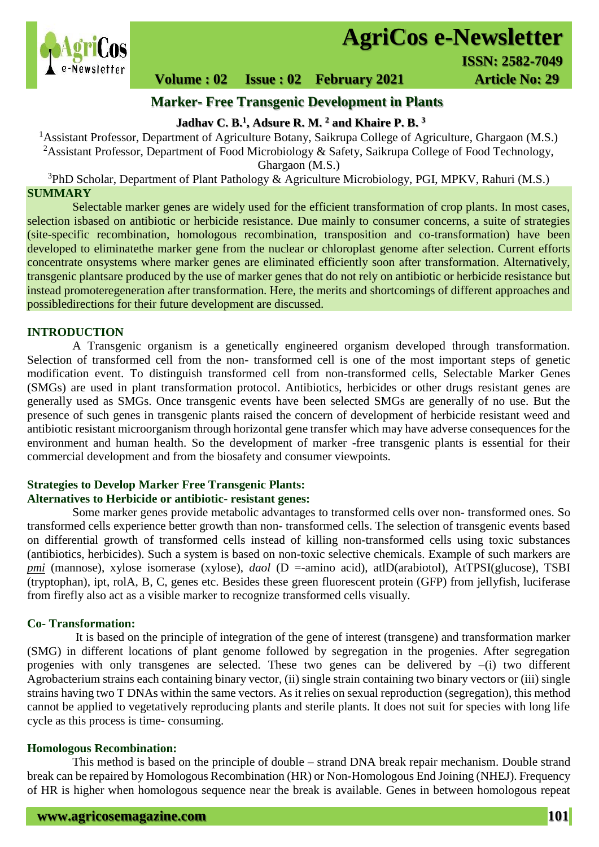

# **AgriCos e-Newsletter**

# **Volume : 02 Issue : 02 February 2021 4rticle No: 29**

# **Marker- Free Transgenic Development in Plants**

## **Jadhav C. B.<sup>1</sup> , Adsure R. M. <sup>2</sup> and Khaire P. B. 3**

<sup>1</sup> Assistant Professor, Department of Agriculture Botany, Saikrupa College of Agriculture, Ghargaon (M.S.)

<sup>2</sup>Assistant Professor, Department of Food Microbiology & Safety, Saikrupa College of Food Technology, Ghargaon (M.S.)

 $3PhD$  Scholar, Department of Plant Pathology & Agriculture Microbiology, PGI, MPKV, Rahuri (M.S.) **SUMMARY**

 Selectable marker genes are widely used for the efficient transformation of crop plants. In most cases, selection isbased on antibiotic or herbicide resistance. Due mainly to consumer concerns, a suite of strategies (site-specific recombination, homologous recombination, transposition and co-transformation) have been developed to eliminatethe marker gene from the nuclear or chloroplast genome after selection. Current efforts concentrate onsystems where marker genes are eliminated efficiently soon after transformation. Alternatively, transgenic plantsare produced by the use of marker genes that do not rely on antibiotic or herbicide resistance but instead promoteregeneration after transformation. Here, the merits and shortcomings of different approaches and possibledirections for their future development are discussed.

### **INTRODUCTION**

A Transgenic organism is a genetically engineered organism developed through transformation. Selection of transformed cell from the non- transformed cell is one of the most important steps of genetic modification event. To distinguish transformed cell from non-transformed cells, Selectable Marker Genes (SMGs) are used in plant transformation protocol. Antibiotics, herbicides or other drugs resistant genes are generally used as SMGs. Once transgenic events have been selected SMGs are generally of no use. But the presence of such genes in transgenic plants raised the concern of development of herbicide resistant weed and antibiotic resistant microorganism through horizontal gene transfer which may have adverse consequences for the environment and human health. So the development of marker -free transgenic plants is essential for their commercial development and from the biosafety and consumer viewpoints.

# **Strategies to Develop Marker Free Transgenic Plants:**

# **Alternatives to Herbicide or antibiotic- resistant genes:**

Some marker genes provide metabolic advantages to transformed cells over non- transformed ones. So transformed cells experience better growth than non- transformed cells. The selection of transgenic events based on differential growth of transformed cells instead of killing non-transformed cells using toxic substances (antibiotics, herbicides). Such a system is based on non-toxic selective chemicals. Example of such markers are *pmi* (mannose), xylose isomerase (xylose), *daol* (D =-amino acid), atlD(arabiotol), AtTPSI(glucose), TSBI (tryptophan), ipt, rolA, B, C, genes etc. Besides these green fluorescent protein (GFP) from jellyfish, luciferase from firefly also act as a visible marker to recognize transformed cells visually.

## **Co- Transformation:**

It is based on the principle of integration of the gene of interest (transgene) and transformation marker (SMG) in different locations of plant genome followed by segregation in the progenies. After segregation progenies with only transgenes are selected. These two genes can be delivered by  $-(i)$  two different Agrobacterium strains each containing binary vector, (ii) single strain containing two binary vectors or (iii) single strains having two T DNAs within the same vectors. As it relies on sexual reproduction (segregation), this method cannot be applied to vegetatively reproducing plants and sterile plants. It does not suit for species with long life cycle as this process is time- consuming.

#### **Homologous Recombination:**

This method is based on the principle of double – strand DNA break repair mechanism. Double strand break can be repaired by Homologous Recombination (HR) or Non-Homologous End Joining (NHEJ). Frequency of HR is higher when homologous sequence near the break is available. Genes in between homologous repeat